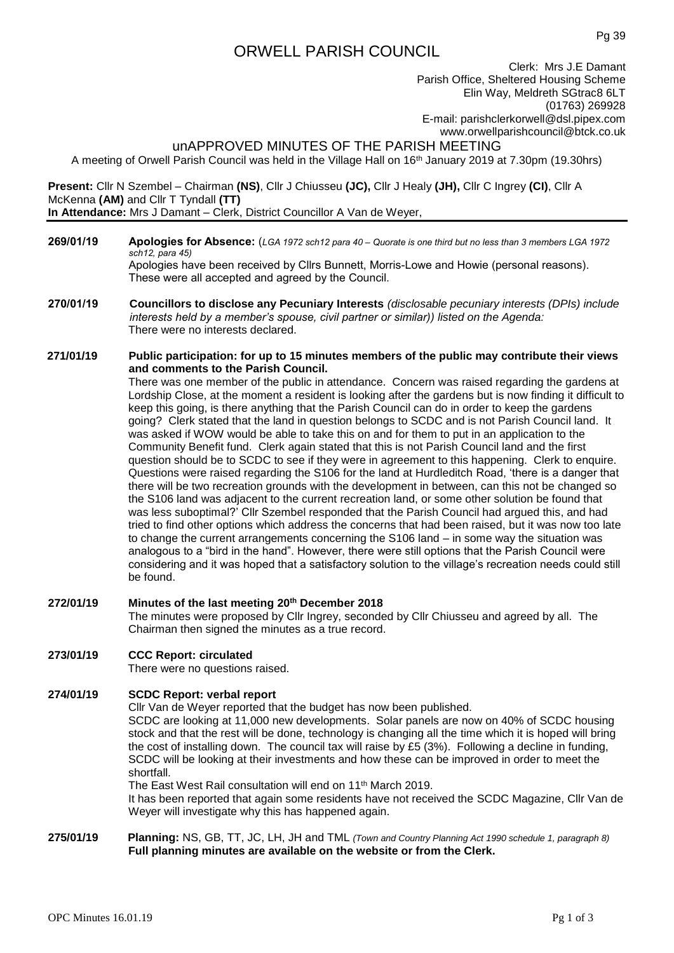# ORWELL PARISH COUNCIL

Clerk: Mrs J.E Damant Parish Office, Sheltered Housing Scheme Elin Way, Meldreth SGtrac8 6LT (01763) 269928 E-mail: [parishclerkorwell@dsl.pipex.com](mailto:parishclerkorwell@dsl.pipex.com) [www.orwellparishcouncil@btck.co.uk](http://www.orwellparishcouncil@btck.co.uk)

## unAPPROVED MINUTES OF THE PARISH MEETING

A meeting of Orwell Parish Council was held in the Village Hall on 16th January 2019 at 7.30pm (19.30hrs)

**Present:** Cllr N Szembel – Chairman **(NS)**, Cllr J Chiusseu **(JC),** Cllr J Healy **(JH),** Cllr C Ingrey **(CI)**, Cllr A McKenna **(AM)** and Cllr T Tyndall **(TT) In Attendance:** Mrs J Damant – Clerk, District Councillor A Van de Weyer,

- **269/01/19 Apologies for Absence:** (*LGA 1972 sch12 para 40 – Quorate is one third but no less than 3 members LGA 1972 sch12, para 45)* Apologies have been received by Cllrs Bunnett, Morris-Lowe and Howie (personal reasons). These were all accepted and agreed by the Council.
- **270/01/19 Councillors to disclose any Pecuniary Interests** *(disclosable pecuniary interests (DPIs) include interests held by a member's spouse, civil partner or similar)) listed on the Agenda:* There were no interests declared.

#### **271/01/19 Public participation: for up to 15 minutes members of the public may contribute their views and comments to the Parish Council.**

There was one member of the public in attendance. Concern was raised regarding the gardens at Lordship Close, at the moment a resident is looking after the gardens but is now finding it difficult to keep this going, is there anything that the Parish Council can do in order to keep the gardens going? Clerk stated that the land in question belongs to SCDC and is not Parish Council land. It was asked if WOW would be able to take this on and for them to put in an application to the Community Benefit fund. Clerk again stated that this is not Parish Council land and the first question should be to SCDC to see if they were in agreement to this happening. Clerk to enquire. Questions were raised regarding the S106 for the land at Hurdleditch Road, 'there is a danger that there will be two recreation grounds with the development in between, can this not be changed so the S106 land was adjacent to the current recreation land, or some other solution be found that was less suboptimal?' Cllr Szembel responded that the Parish Council had argued this, and had tried to find other options which address the concerns that had been raised, but it was now too late to change the current arrangements concerning the S106 land – in some way the situation was analogous to a "bird in the hand". However, there were still options that the Parish Council were considering and it was hoped that a satisfactory solution to the village's recreation needs could still be found.

**272/01/19 Minutes of the last meeting 20th December 2018** The minutes were proposed by Cllr Ingrey, seconded by Cllr Chiusseu and agreed by all. The Chairman then signed the minutes as a true record.

#### **273/01/19 CCC Report: circulated**

There were no questions raised.

#### **274/01/19 SCDC Report: verbal report**

Cllr Van de Weyer reported that the budget has now been published.

SCDC are looking at 11,000 new developments. Solar panels are now on 40% of SCDC housing stock and that the rest will be done, technology is changing all the time which it is hoped will bring the cost of installing down. The council tax will raise by £5 (3%). Following a decline in funding, SCDC will be looking at their investments and how these can be improved in order to meet the shortfall.

The East West Rail consultation will end on 11th March 2019.

It has been reported that again some residents have not received the SCDC Magazine, Cllr Van de Weyer will investigate why this has happened again.

**275/01/19 Planning:** NS, GB, TT, JC, LH, JH and TML *(Town and Country Planning Act 1990 schedule 1, paragraph 8)* **Full planning minutes are available on the website or from the Clerk.**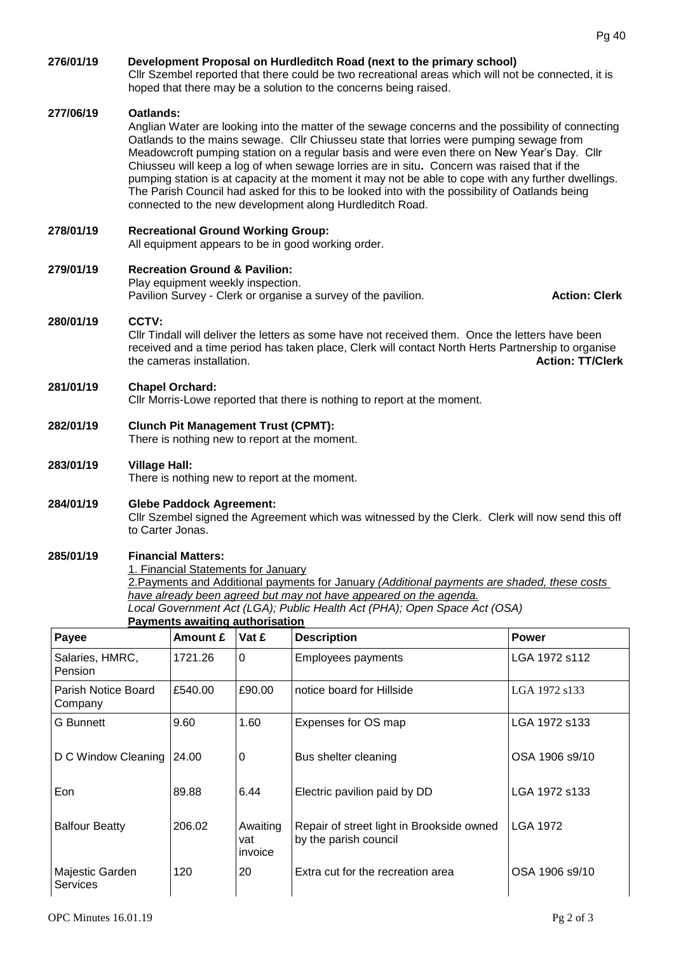| 276/01/19                      | Development Proposal on Hurdleditch Road (next to the primary school)<br>CIIr Szembel reported that there could be two recreational areas which will not be connected, it is<br>hoped that there may be a solution to the concerns being raised.                                                                                                                                                                                                                                                                                                                                                                                                                             |          |             |                           |                |
|--------------------------------|------------------------------------------------------------------------------------------------------------------------------------------------------------------------------------------------------------------------------------------------------------------------------------------------------------------------------------------------------------------------------------------------------------------------------------------------------------------------------------------------------------------------------------------------------------------------------------------------------------------------------------------------------------------------------|----------|-------------|---------------------------|----------------|
| 277/06/19                      | Oatlands:<br>Anglian Water are looking into the matter of the sewage concerns and the possibility of connecting<br>Oatlands to the mains sewage. Cllr Chiusseu state that lorries were pumping sewage from<br>Meadowcroft pumping station on a regular basis and were even there on New Year's Day. Cllr<br>Chiusseu will keep a log of when sewage lorries are in situ. Concern was raised that if the<br>pumping station is at capacity at the moment it may not be able to cope with any further dwellings.<br>The Parish Council had asked for this to be looked into with the possibility of Oatlands being<br>connected to the new development along Hurdleditch Road. |          |             |                           |                |
| 278/01/19                      | <b>Recreational Ground Working Group:</b><br>All equipment appears to be in good working order.                                                                                                                                                                                                                                                                                                                                                                                                                                                                                                                                                                              |          |             |                           |                |
| 279/01/19                      | <b>Recreation Ground &amp; Pavilion:</b><br>Play equipment weekly inspection.<br>Pavilion Survey - Clerk or organise a survey of the pavilion.<br><b>Action: Clerk</b>                                                                                                                                                                                                                                                                                                                                                                                                                                                                                                       |          |             |                           |                |
| 280/01/19                      | CCTV:<br>CIIr Tindall will deliver the letters as some have not received them. Once the letters have been<br>received and a time period has taken place, Clerk will contact North Herts Partnership to organise<br>the cameras installation.<br><b>Action: TT/Clerk</b>                                                                                                                                                                                                                                                                                                                                                                                                      |          |             |                           |                |
| 281/01/19                      | <b>Chapel Orchard:</b><br>Cllr Morris-Lowe reported that there is nothing to report at the moment.                                                                                                                                                                                                                                                                                                                                                                                                                                                                                                                                                                           |          |             |                           |                |
| 282/01/19                      | <b>Clunch Pit Management Trust (CPMT):</b><br>There is nothing new to report at the moment.                                                                                                                                                                                                                                                                                                                                                                                                                                                                                                                                                                                  |          |             |                           |                |
| 283/01/19                      | <b>Village Hall:</b><br>There is nothing new to report at the moment.                                                                                                                                                                                                                                                                                                                                                                                                                                                                                                                                                                                                        |          |             |                           |                |
| 284/01/19                      | <b>Glebe Paddock Agreement:</b><br>Cllr Szembel signed the Agreement which was witnessed by the Clerk. Clerk will now send this off<br>to Carter Jonas.                                                                                                                                                                                                                                                                                                                                                                                                                                                                                                                      |          |             |                           |                |
| 285/01/19                      | <b>Financial Matters:</b><br>1. Financial Statements for January<br>2. Payments and Additional payments for January (Additional payments are shaded, these costs<br>have already been agreed but may not have appeared on the agenda.<br>Local Government Act (LGA); Public Health Act (PHA); Open Space Act (OSA)<br><b>Payments awaiting authorisation</b>                                                                                                                                                                                                                                                                                                                 |          |             |                           |                |
| Payee                          |                                                                                                                                                                                                                                                                                                                                                                                                                                                                                                                                                                                                                                                                              | Amount £ | Vat £       | <b>Description</b>        | <b>Power</b>   |
| Salaries, HMRC,<br>Pension     |                                                                                                                                                                                                                                                                                                                                                                                                                                                                                                                                                                                                                                                                              | 1721.26  | $\mathbf 0$ | <b>Employees payments</b> | LGA 1972 s112  |
| Parish Notice Board<br>Company |                                                                                                                                                                                                                                                                                                                                                                                                                                                                                                                                                                                                                                                                              | £540.00  | £90.00      | notice board for Hillside | LGA 1972 s133  |
| <b>G</b> Bunnett               |                                                                                                                                                                                                                                                                                                                                                                                                                                                                                                                                                                                                                                                                              | 9.60     | 1.60        | Expenses for OS map       | LGA 1972 s133  |
| D C Window Cleaning            |                                                                                                                                                                                                                                                                                                                                                                                                                                                                                                                                                                                                                                                                              | 24.00    | 0           | Bus shelter cleaning      | OSA 1906 s9/10 |

Eon 89.88 6.44 Electric pavilion paid by DD LGA 1972 s133

by the parish council

Repair of street light in Brookside owned

120 20 Extra cut for the recreation area CSA 1906 s9/10

Majestic Garden

**Services** 

Balfour Beatty 206.02 Awaiting

vat invoice LGA 1972